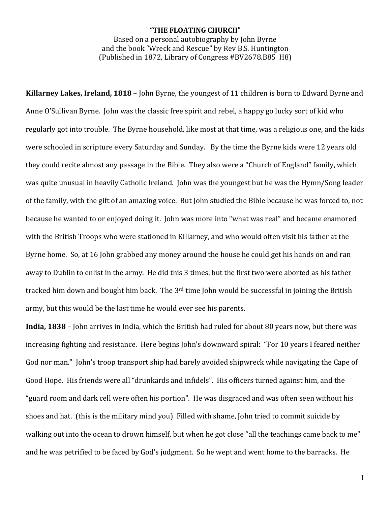## **"THE FLOATING CHURCH"**

Based on a personal autobiography by John Byrne and the book "Wreck and Rescue" by Rey B.S. Huntington  $(Published in 1872, Library of Congress #BV2678.B85  $H8$ )$ 

**Killarney Lakes, Ireland, 1818** – John Byrne, the youngest of 11 children is born to Edward Byrne and Anne O'Sullivan Byrne. John was the classic free spirit and rebel, a happy go lucky sort of kid who regularly got into trouble. The Byrne household, like most at that time, was a religious one, and the kids were schooled in scripture every Saturday and Sunday. By the time the Byrne kids were 12 years old they could recite almost any passage in the Bible. They also were a "Church of England" family, which was quite unusual in heavily Catholic Ireland. John was the youngest but he was the Hymn/Song leader of the family, with the gift of an amazing voice. But John studied the Bible because he was forced to, not because he wanted to or enjoyed doing it. John was more into "what was real" and became enamored with the British Troops who were stationed in Killarney, and who would often visit his father at the Byrne home. So, at 16 John grabbed any money around the house he could get his hands on and ran away to Dublin to enlist in the army. He did this 3 times, but the first two were aborted as his father tracked him down and bought him back. The  $3<sup>rd</sup>$  time John would be successful in joining the British army, but this would be the last time he would ever see his parents.

**India, 1838** – John arrives in India, which the British had ruled for about 80 years now, but there was increasing fighting and resistance. Here begins John's downward spiral: "For 10 years I feared neither God nor man." Iohn's troop transport ship had barely avoided shipwreck while navigating the Cape of Good Hope. His friends were all "drunkards and infidels". His officers turned against him, and the "guard room and dark cell were often his portion". He was disgraced and was often seen without his shoes and hat. (this is the military mind you) Filled with shame, John tried to commit suicide by walking out into the ocean to drown himself, but when he got close "all the teachings came back to me" and he was petrified to be faced by God's judgment. So he wept and went home to the barracks. He

1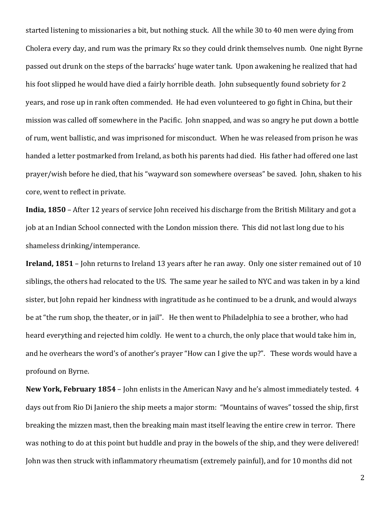started listening to missionaries a bit, but nothing stuck. All the while 30 to 40 men were dying from Cholera every day, and rum was the primary Rx so they could drink themselves numb. One night Byrne passed out drunk on the steps of the barracks' huge water tank. Upon awakening he realized that had his foot slipped he would have died a fairly horrible death. John subsequently found sobriety for 2 years, and rose up in rank often commended. He had even volunteered to go fight in China, but their mission was called off somewhere in the Pacific. John snapped, and was so angry he put down a bottle of rum, went ballistic, and was imprisoned for misconduct. When he was released from prison he was handed a letter postmarked from Ireland, as both his parents had died. His father had offered one last prayer/wish before he died, that his "wayward son somewhere overseas" be saved. John, shaken to his core, went to reflect in private.

**India, 1850** – After 12 years of service John received his discharge from the British Military and got a job at an Indian School connected with the London mission there. This did not last long due to his shameless drinking/intemperance.

**Ireland, 1851** – John returns to Ireland 13 years after he ran away. Only one sister remained out of 10 siblings, the others had relocated to the US. The same year he sailed to NYC and was taken in by a kind sister, but John repaid her kindness with ingratitude as he continued to be a drunk, and would always be at "the rum shop, the theater, or in jail". He then went to Philadelphia to see a brother, who had heard everything and rejected him coldly. He went to a church, the only place that would take him in, and he overhears the word's of another's prayer "How can I give the up?". These words would have a profound on Byrne.

**New York, February 1854** – John enlists in the American Navy and he's almost immediately tested. 4 days out from Rio Di Janiero the ship meets a major storm: "Mountains of waves" tossed the ship, first breaking the mizzen mast, then the breaking main mast itself leaving the entire crew in terror. There was nothing to do at this point but huddle and pray in the bowels of the ship, and they were delivered! John was then struck with inflammatory rheumatism (extremely painful), and for 10 months did not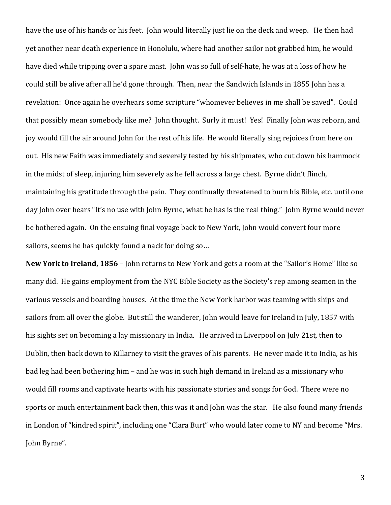have the use of his hands or his feet. Iohn would literally just lie on the deck and weep. He then had yet another near death experience in Honolulu, where had another sailor not grabbed him, he would have died while tripping over a spare mast. John was so full of self-hate, he was at a loss of how he could still be alive after all he'd gone through. Then, near the Sandwich Islands in 1855 John has a revelation: Once again he overhears some scripture "whomever believes in me shall be saved". Could that possibly mean somebody like me? John thought. Surly it must! Yes! Finally John was reborn, and joy would fill the air around John for the rest of his life. He would literally sing rejoices from here on out. His new Faith was immediately and severely tested by his shipmates, who cut down his hammock in the midst of sleep, injuring him severely as he fell across a large chest. Byrne didn't flinch, maintaining his gratitude through the pain. They continually threatened to burn his Bible, etc. until one day John over hears "It's no use with John Byrne, what he has is the real thing." John Byrne would never be bothered again. On the ensuing final voyage back to New York, John would convert four more sailors, seems he has quickly found a nack for doing so...

**New York to Ireland, 1856** – John returns to New York and gets a room at the "Sailor's Home" like so many did. He gains employment from the NYC Bible Society as the Society's rep among seamen in the various vessels and boarding houses. At the time the New York harbor was teaming with ships and sailors from all over the globe. But still the wanderer, John would leave for Ireland in July, 1857 with his sights set on becoming a lay missionary in India. He arrived in Liverpool on July 21st, then to Dublin, then back down to Killarney to visit the graves of his parents. He never made it to India, as his bad leg had been bothering him – and he was in such high demand in Ireland as a missionary who would fill rooms and captivate hearts with his passionate stories and songs for God. There were no sports or much entertainment back then, this was it and John was the star. He also found many friends in London of "kindred spirit", including one "Clara Burt" who would later come to NY and become "Mrs. John Byrne".

3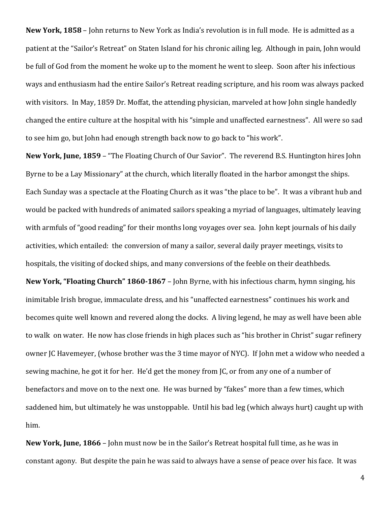**New York, 1858** – John returns to New York as India's revolution is in full mode. He is admitted as a patient at the "Sailor's Retreat" on Staten Island for his chronic ailing leg. Although in pain, John would be full of God from the moment he woke up to the moment he went to sleep. Soon after his infectious ways and enthusiasm had the entire Sailor's Retreat reading scripture, and his room was always packed with visitors. In May, 1859 Dr. Moffat, the attending physician, marveled at how John single handedly changed the entire culture at the hospital with his "simple and unaffected earnestness". All were so sad to see him go, but John had enough strength back now to go back to "his work".

**New York, June, 1859** – "The Floating Church of Our Savior". The reverend B.S. Huntington hires John Byrne to be a Lay Missionary" at the church, which literally floated in the harbor amongst the ships. Each Sunday was a spectacle at the Floating Church as it was "the place to be". It was a vibrant hub and would be packed with hundreds of animated sailors speaking a myriad of languages, ultimately leaving with armfuls of "good reading" for their months long voyages over sea. John kept journals of his daily activities, which entailed: the conversion of many a sailor, several daily prayer meetings, visits to hospitals, the visiting of docked ships, and many conversions of the feeble on their deathbeds.

**New York, "Floating Church" 1860-1867** – John Byrne, with his infectious charm, hymn singing, his inimitable Irish brogue, immaculate dress, and his "unaffected earnestness" continues his work and becomes quite well known and revered along the docks. A living legend, he may as well have been able to walk on water. He now has close friends in high places such as "his brother in Christ" sugar refinery owner JC Havemeyer, (whose brother was the 3 time mayor of NYC). If John met a widow who needed a sewing machine, he got it for her. He'd get the money from JC, or from any one of a number of benefactors and move on to the next one. He was burned by "fakes" more than a few times, which saddened him, but ultimately he was unstoppable. Until his bad leg (which always hurt) caught up with him.

**New York, June, 1866** – John must now be in the Sailor's Retreat hospital full time, as he was in constant agony. But despite the pain he was said to always have a sense of peace over his face. It was